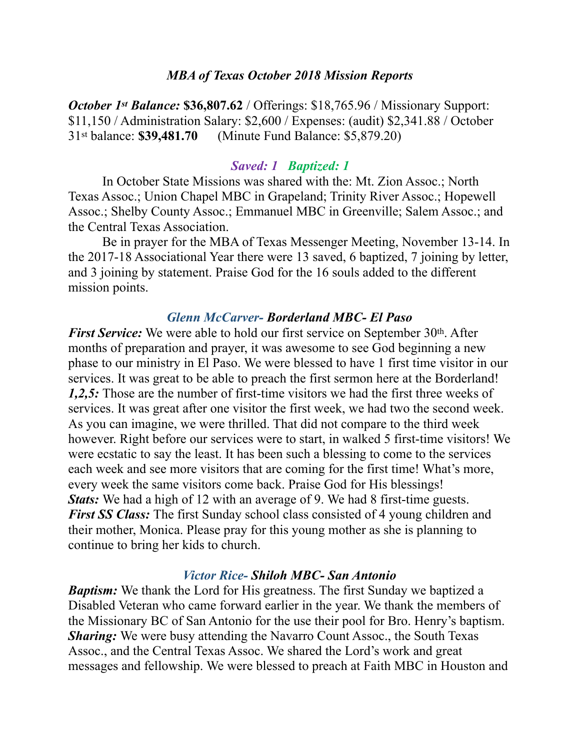#### *MBA of Texas October 2018 Mission Reports*

*October 1st Balance: \$36,807.62 / Offerings: \$18,765.96 / Missionary Support:* \$11,150 / Administration Salary: \$2,600 / Expenses: (audit) \$2,341.88 / October 31st balance: **\$39,481.70** (Minute Fund Balance: \$5,879.20)

#### *Saved: 1 Baptized: 1*

 In October State Missions was shared with the: Mt. Zion Assoc.; North Texas Assoc.; Union Chapel MBC in Grapeland; Trinity River Assoc.; Hopewell Assoc.; Shelby County Assoc.; Emmanuel MBC in Greenville; Salem Assoc.; and the Central Texas Association.

 Be in prayer for the MBA of Texas Messenger Meeting, November 13-14. In the 2017-18 Associational Year there were 13 saved, 6 baptized, 7 joining by letter, and 3 joining by statement. Praise God for the 16 souls added to the different mission points.

### *Glenn McCarver- Borderland MBC- El Paso*

*First Service:* We were able to hold our first service on September 30<sup>th</sup>. After months of preparation and prayer, it was awesome to see God beginning a new phase to our ministry in El Paso. We were blessed to have 1 first time visitor in our services. It was great to be able to preach the first sermon here at the Borderland! *1,2,5:* Those are the number of first-time visitors we had the first three weeks of services. It was great after one visitor the first week, we had two the second week. As you can imagine, we were thrilled. That did not compare to the third week however. Right before our services were to start, in walked 5 first-time visitors! We were ecstatic to say the least. It has been such a blessing to come to the services each week and see more visitors that are coming for the first time! What's more, every week the same visitors come back. Praise God for His blessings! *Stats:* We had a high of 12 with an average of 9. We had 8 first-time guests. *First SS Class:* The first Sunday school class consisted of 4 young children and their mother, Monica. Please pray for this young mother as she is planning to continue to bring her kids to church.

#### *Victor Rice- Shiloh MBC- San Antonio*

*Baptism:* We thank the Lord for His greatness. The first Sunday we baptized a Disabled Veteran who came forward earlier in the year. We thank the members of the Missionary BC of San Antonio for the use their pool for Bro. Henry's baptism. *Sharing:* We were busy attending the Navarro Count Assoc., the South Texas Assoc., and the Central Texas Assoc. We shared the Lord's work and great messages and fellowship. We were blessed to preach at Faith MBC in Houston and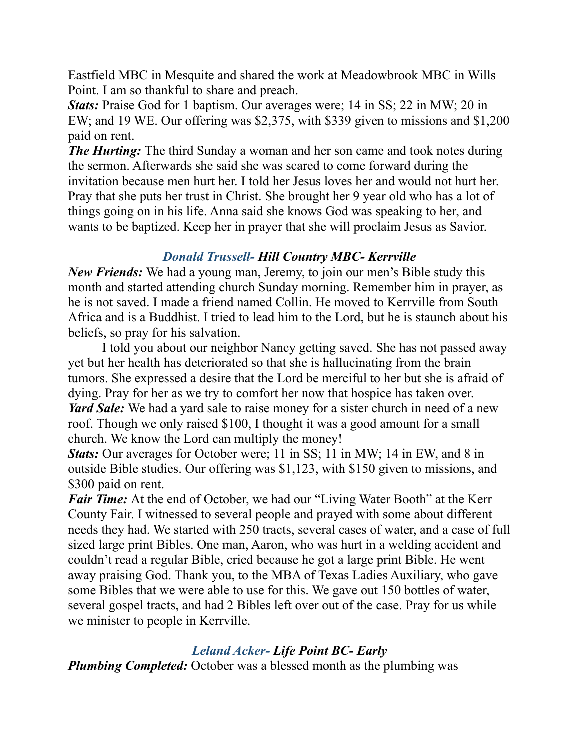Eastfield MBC in Mesquite and shared the work at Meadowbrook MBC in Wills Point. I am so thankful to share and preach.

*Stats:* Praise God for 1 baptism. Our averages were; 14 in SS; 22 in MW; 20 in EW; and 19 WE. Our offering was \$2,375, with \$339 given to missions and \$1,200 paid on rent.

*The Hurting:* The third Sunday a woman and her son came and took notes during the sermon. Afterwards she said she was scared to come forward during the invitation because men hurt her. I told her Jesus loves her and would not hurt her. Pray that she puts her trust in Christ. She brought her 9 year old who has a lot of things going on in his life. Anna said she knows God was speaking to her, and wants to be baptized. Keep her in prayer that she will proclaim Jesus as Savior.

# *Donald Trussell- Hill Country MBC- Kerrville*

*New Friends:* We had a young man, Jeremy, to join our men's Bible study this month and started attending church Sunday morning. Remember him in prayer, as he is not saved. I made a friend named Collin. He moved to Kerrville from South Africa and is a Buddhist. I tried to lead him to the Lord, but he is staunch about his beliefs, so pray for his salvation.

 I told you about our neighbor Nancy getting saved. She has not passed away yet but her health has deteriorated so that she is hallucinating from the brain tumors. She expressed a desire that the Lord be merciful to her but she is afraid of dying. Pray for her as we try to comfort her now that hospice has taken over. *Yard Sale:* We had a yard sale to raise money for a sister church in need of a new roof. Though we only raised \$100, I thought it was a good amount for a small church. We know the Lord can multiply the money!

*Stats:* Our averages for October were; 11 in SS; 11 in MW; 14 in EW, and 8 in outside Bible studies. Our offering was \$1,123, with \$150 given to missions, and \$300 paid on rent.

*Fair Time:* At the end of October, we had our "Living Water Booth" at the Kerr County Fair. I witnessed to several people and prayed with some about different needs they had. We started with 250 tracts, several cases of water, and a case of full sized large print Bibles. One man, Aaron, who was hurt in a welding accident and couldn't read a regular Bible, cried because he got a large print Bible. He went away praising God. Thank you, to the MBA of Texas Ladies Auxiliary, who gave some Bibles that we were able to use for this. We gave out 150 bottles of water, several gospel tracts, and had 2 Bibles left over out of the case. Pray for us while we minister to people in Kerrville.

# *Leland Acker- Life Point BC- Early*

*Plumbing Completed:* October was a blessed month as the plumbing was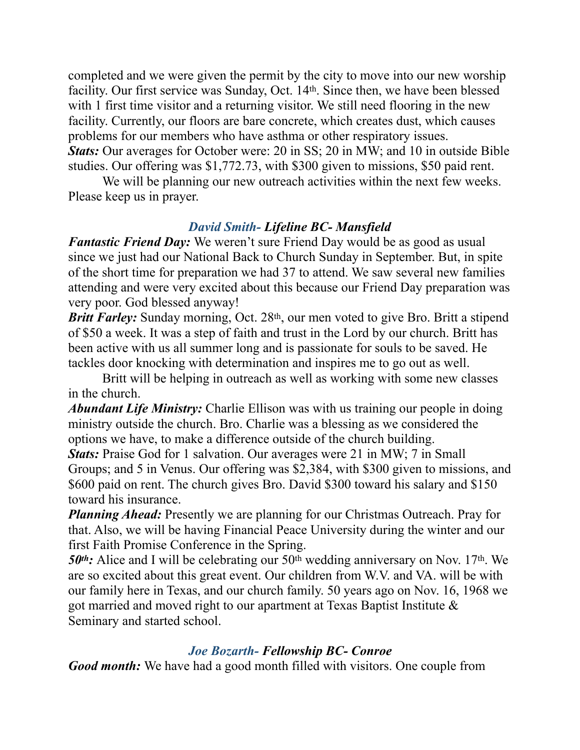completed and we were given the permit by the city to move into our new worship facility. Our first service was Sunday, Oct. 14th. Since then, we have been blessed with 1 first time visitor and a returning visitor. We still need flooring in the new facility. Currently, our floors are bare concrete, which creates dust, which causes problems for our members who have asthma or other respiratory issues. *Stats:* Our averages for October were: 20 in SS; 20 in MW; and 10 in outside Bible studies. Our offering was \$1,772.73, with \$300 given to missions, \$50 paid rent.

 We will be planning our new outreach activities within the next few weeks. Please keep us in prayer.

# *David Smith- Lifeline BC- Mansfield*

*Fantastic Friend Day:* We weren't sure Friend Day would be as good as usual since we just had our National Back to Church Sunday in September. But, in spite of the short time for preparation we had 37 to attend. We saw several new families attending and were very excited about this because our Friend Day preparation was very poor. God blessed anyway!

*Britt Farley:* Sunday morning, Oct. 28<sup>th</sup>, our men voted to give Bro. Britt a stipend of \$50 a week. It was a step of faith and trust in the Lord by our church. Britt has been active with us all summer long and is passionate for souls to be saved. He tackles door knocking with determination and inspires me to go out as well.

 Britt will be helping in outreach as well as working with some new classes in the church.

*Abundant Life Ministry:* Charlie Ellison was with us training our people in doing ministry outside the church. Bro. Charlie was a blessing as we considered the options we have, to make a difference outside of the church building.

*Stats:* Praise God for 1 salvation. Our averages were 21 in MW; 7 in Small Groups; and 5 in Venus. Our offering was \$2,384, with \$300 given to missions, and \$600 paid on rent. The church gives Bro. David \$300 toward his salary and \$150 toward his insurance.

*Planning Ahead:* Presently we are planning for our Christmas Outreach. Pray for that. Also, we will be having Financial Peace University during the winter and our first Faith Promise Conference in the Spring.

**50<sup>th</sup>:** Alice and I will be celebrating our 50<sup>th</sup> wedding anniversary on Nov. 17<sup>th</sup>. We are so excited about this great event. Our children from W.V. and VA. will be with our family here in Texas, and our church family. 50 years ago on Nov. 16, 1968 we got married and moved right to our apartment at Texas Baptist Institute & Seminary and started school.

### *Joe Bozarth- Fellowship BC- Conroe*

*Good month:* We have had a good month filled with visitors. One couple from